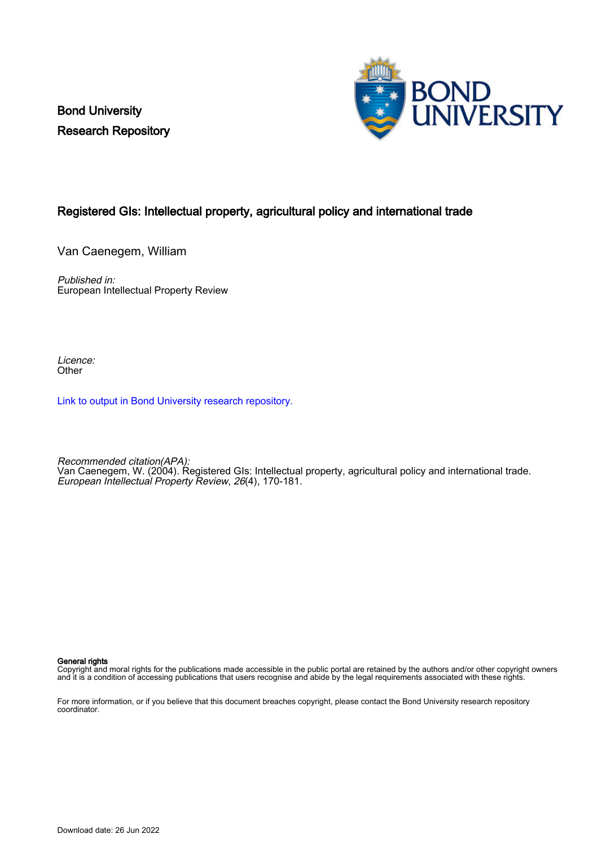Bond University Research Repository



# Registered GIs: Intellectual property, agricultural policy and international trade

Van Caenegem, William

Published in: European Intellectual Property Review

Licence: **Other** 

[Link to output in Bond University research repository.](https://research.bond.edu.au/en/publications/479e4036-61e6-4907-8f36-540faa7ff2f3)

Recommended citation(APA): Van Caenegem, W. (2004). Registered GIs: Intellectual property, agricultural policy and international trade. European Intellectual Property Review, 26(4), 170-181.

General rights

Copyright and moral rights for the publications made accessible in the public portal are retained by the authors and/or other copyright owners and it is a condition of accessing publications that users recognise and abide by the legal requirements associated with these rights.

For more information, or if you believe that this document breaches copyright, please contact the Bond University research repository coordinator.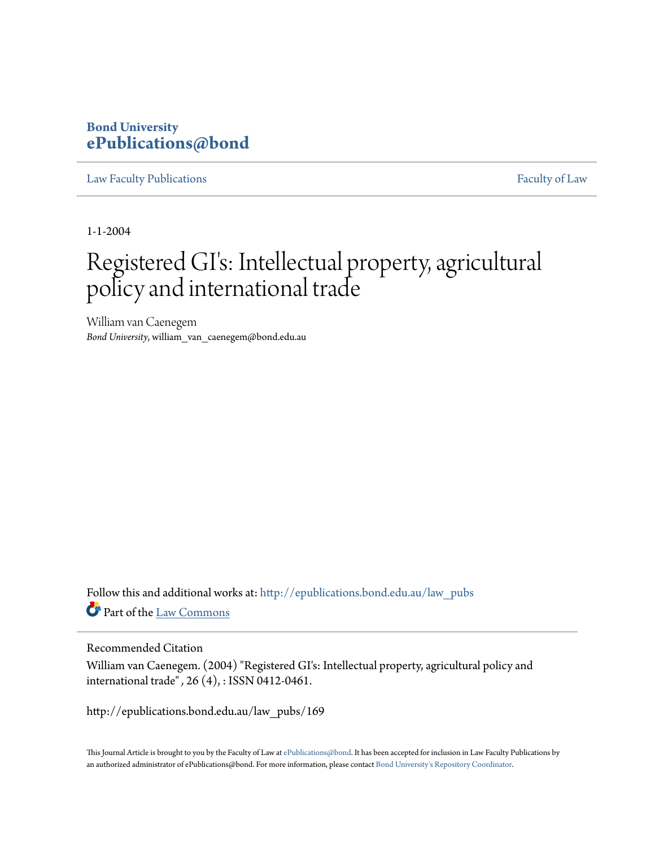# **Bond University [ePublications@bond](http://epublications.bond.edu.au?utm_source=epublications.bond.edu.au%2Flaw_pubs%2F169&utm_medium=PDF&utm_campaign=PDFCoverPages)**

[Law Faculty Publications](http://epublications.bond.edu.au/law_pubs?utm_source=epublications.bond.edu.au%2Flaw_pubs%2F169&utm_medium=PDF&utm_campaign=PDFCoverPages) [Faculty of Law](http://epublications.bond.edu.au/law?utm_source=epublications.bond.edu.au%2Flaw_pubs%2F169&utm_medium=PDF&utm_campaign=PDFCoverPages)

1-1-2004

# Registered GI's: Intellectual property, agricultural policy and international trade

William van Caenegem *Bond University*, william\_van\_caenegem@bond.edu.au

Follow this and additional works at: [http://epublications.bond.edu.au/law\\_pubs](http://epublications.bond.edu.au/law_pubs?utm_source=epublications.bond.edu.au%2Flaw_pubs%2F169&utm_medium=PDF&utm_campaign=PDFCoverPages) Part of the [Law Commons](http://network.bepress.com/hgg/discipline/578?utm_source=epublications.bond.edu.au%2Flaw_pubs%2F169&utm_medium=PDF&utm_campaign=PDFCoverPages)

# Recommended Citation

William van Caenegem. (2004) "Registered GI's: Intellectual property, agricultural policy and international trade" *,* 26 (4), : ISSN 0412-0461.

http://epublications.bond.edu.au/law\_pubs/169

This Journal Article is brought to you by the Faculty of Law at [ePublications@bond](http://epublications.bond.edu.au). It has been accepted for inclusion in Law Faculty Publications by an authorized administrator of ePublications@bond. For more information, please contact [Bond University's Repository Coordinator.](mailto:acass@bond.edu.au)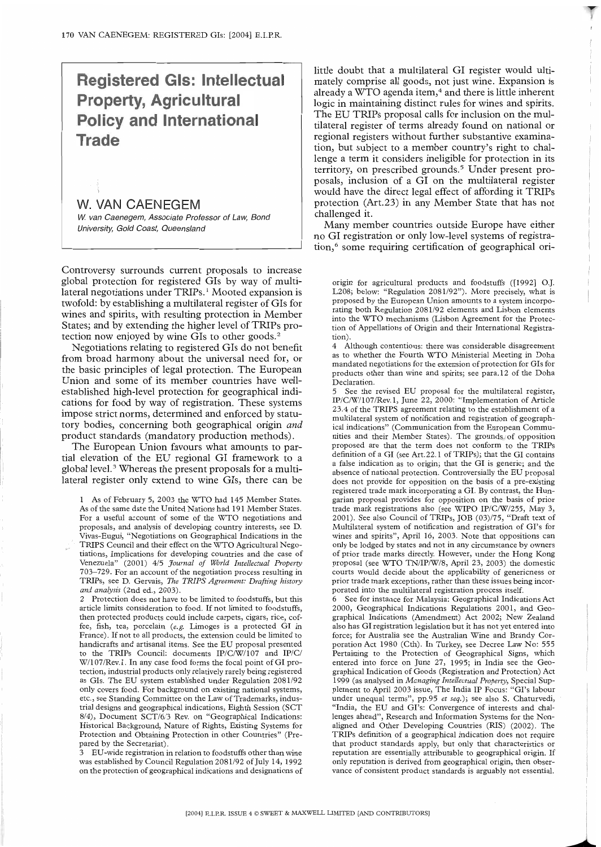# **Registered Gls: Intellectual Property, Agricultural Policy and International Trade**

# **W. VAN CAENEGEM**

W. van Caenegem, Associate Professor of Law, Bond University, Gold Coast, Queensland

Controversy surrounds current proposals to increase global protection for registered GIs by way of muhilateral negotiations under TRIPs.<sup>1</sup> Mooted expansion is twofold: by establishing a multilateral register of GIs for wines and spirits, with resulting protection in Member States; and by extending the higher level of TRIPs protection now enjoyed by wine GIs to other goods.<sup>2</sup>

Negotiations relating to registered GIs do not benefit from broad harmony about the universal need for, or the basic principles of legal protection. The European Union and some of its member countries have wellestablished high-level protection for geographical indications for food by way of registration. These systems impose strict norms, determined and enforced by statutory bodies, concerning both geographical origin *and* product standards (mandatory production methods).

The European Union favours what amounts to partial elevation of the EU regional GI framework to a global level.<sup>3</sup> Whereas the present proposals for a multilateral register only extend to wine GIs, there can be

1 As of February 5, 2003 the WTO had 145 Member States. As of the same date the United Nations had 191 Member States. For a useful account of some of the WTO negotiations and proposals, and analysis of developing country interests, see D. Vivas-Eugui, "Negotiations on Geographical Indications in the TRIPS Council and their effect on the WTO Agricultural Negotiations, Implications for developing countries and the case of Venezuela" (2001) 4/5 *Journal of World Intellectual Property* 703-729. For an account of the negotiation process resulting in TRIPs, see D. Gervais, *The TRIPS Agreement: Drafting history and analysis* (2nd ed., 2003).

2 Protection does not have to be limited to foodstuffs, but this article limits consideration to food. If not limited to foodstuffs, then protected products could include carpets, cigars, rice, coffee, fish, tea, porcelain *(e.g.* Limoges is a protected GI in France). If not to all products, the extension could be limited to handicrafts and artisanal items. See the EU proposal presented to the TRIPs Council: documents IP/C/W/107 and IP/C/ W/107/Rev. 1. In any case food forms the focal point of GI protection, industrial products only relatively rarely being registered as GIs. The EU system established under Regulation 2081/92 only covers food. For background on existing national systems, etc., see Standing Committee on the Law of Trademarks, industrial designs and geographical indications, Eighth Session (SCT 8/4), Document SCT/6/3 Rev. on "Geographical Indications: Historical Background, Nature of Rights, Existing Systems for Protection and Obtaining Protection in other Countries" (Prepared by the Secretariat).

EU-wide registration in relation to foodstuffs other than wine was established by Council Regulation 2081/92 of July 14, 1992 on the protection of geographical indications and designations of little doubt that a multilateral GI register would ultimately comprise all goods, not iust wine. Expansion is already a WTO agenda item,<sup>4</sup> and there is little inherent logic in maintaining distinct rules for wines and spirits. The EU TRIPs proposal calls for inclusion on the multilateral register of terms already found on national or regional registers without further substantive examination, but subiect to a member country's right to challenge a term it considers ineligible for protection in its territory, on prescribed grounds.<sup>5</sup> Under present proposals, inclusion of a GI on the multilateral register would have the direct legal effect of affording it TRIPs protection (Art.23) in any Member State that has not challenged it.

Many member countries outside Europe have either no GI registration or only low-level systems of registration,<sup>6</sup> some requiring certification of geographical ori-

origin for agricultural products and foodstuffs ([1992] O.J. L208; below: "Regulation 2081/92"). More precisely, what is proposed by the European Union amounts to a system incorporating both Regulation 2081/92 elements and Lisbon elements into the WTO mechanisms (Lisbon Agreement for the Protection of Appellations of Origin and their International Registration).

4 Although contentious: there was considerable disagreement as to whether the Fourth WTO Ministerial Meeting in Doha mandated negotiations for the extension of protection for GIs for products other than wine and spirits; see para.12 of the Doha Declaration.

5 See the revised EU proposal for the multilateral register, IP/C/W/107/Rev. 1, June 22, 2000: "Implementation of Article 23.4 of the TRIPS agreement relating to the establishment of a multilateral system of notification and registration of geographical indications" (Communication from the European Communities and their Member States). The grounds of opposition proposed are that the term does not conform to the TRIPs definition of a GI (see Art.22.1 of TRIPs); that the GI contains a false indication as to origin; that the GI is generic; and the absence of national protection. Controversially the EU proposal does not provide for opposition on the basis of a pre-existing registered trade mark incorporating a GI. By contrast, the Hungarian proposal provides for opposition on the basis of prior trade mark registrations also (see WIPO IP/C/W/255, May 3, 2001). See also Council of TRIPs, JOB (03)/75, "Draft text of Multilateral system of notification and registration of GI's for wines and spirits", April 16, 2003. Note that oppositions can only be lodged by states and not in any circumstance by owners of prior trade marks directly. However, under the Hong Kong proposal (see WTO TN/IP/W/8, April 23, 2003) the domestic courts would decide about the applicability of genericness or prior trade mark exceptions, rather than these issues being incorporated into the multilateral registration process itself.

See for instance for Malaysia: Geographical Indications Act 2000, Geographical Indications Regulations 2001, and Geographical Indications (Amendment) Act 2002; New Zealand also has GI registration legislation but it has not yet entered into force; for Australia see the Australian Wine and Brandy Corporation Act 1980 (Cth). In Turkey, see Decree Law No: 555 Pertaining to the Protection of Geographical Signs, which entered into force on June 27, 1995; in India see the Geographical Indication of Goods (Registration and Protection) Act 1999 (as analysed in *Managing Intellectual Property,* Special Sup- plement to April 2003 issue, The India IP Focus: "GI's labour under unequal terms", pp.95 et *seq.);* see also S. Chaturvedi, "India, the EU and GI's: Convergence of interests and challenges ahead", Research and Information Systems for the Nonaligned and Other Developing Countries (RIS) (2002). The TRIPs definition of a geographical indication does not require that product standards apply, but only that characteristics or reputation are essentially attributable to geographical origin. If only reputation is derived from geographical origin, then observance of consistent product standards is arguably not essential.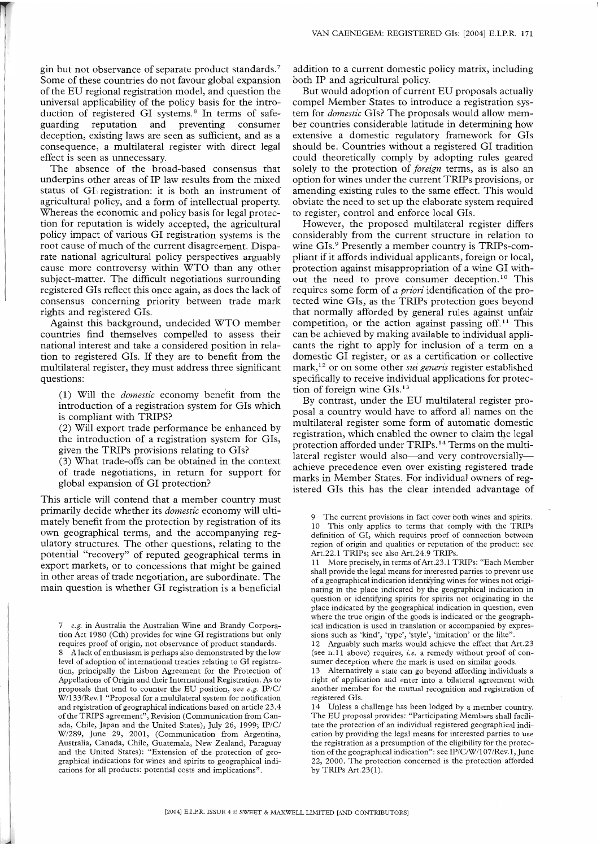gin but not observance of separate product standards.7 Some of these countries do not favour global expansion of the EU regional registration model, and question the universal applicability of the policy basis for the introduction of registered GI systems.<sup>8</sup> In terms of safe-<br>guarding reputation and preventing consumer reputation and preventing consumer deception, existing laws are seen as sufficient, and as a consequence, a multilateral register with direct legal effect is seen as unnecessary.

The absence of the broad-based consensus that underpins other areas of IP law results from the mixed status of GI registration: it is both an instrument of agricultural policy, and a form of intellectual property. Whereas the economic and policy basis for legal protection for reputation is widely accepted, the agricultural policy impact of various GI registration systems is the root cause of much of the current disagreement. Disparate national agricultural policy perspectives arguably cause more controversy within WTO than any other subject-matter. The difficult negotiations surrounding registered GIs reflect this once again, as does the lack of consensus concerning priority between trade mark rights and registered GIs.

Against this background, undecided WTO member countries find themselves compelled to assess their national interest and take a considered position in relation to registered GIs. If they are to benefit from the multilateral register, they must address three significant questions:

(1) Will the *domestic* economy benefit from the introduction of a registration system for GIs which is compliant with TRIPS?

(2) Will export trade performance be enhanced by the introduction of a registration system for GIs, given the TRIPs provisions relating to GIs?

(3) What trade-offs can be obtained in the context of trade negotiations, in return for support for global expansion of GI protection?

This article will contend that a member country must primarily decide whether its *domestic* economy will ultimately benefit from the protection by registration of its own geographical terms, and the accompanying regulatory structures. The other questions, relating to the potential "recovery" of reputed geographical terms in export markets, or to concessions that might be gained in other areas of trade negotiation, are subordinate: The main question is whether GI registration is a beneficial

*7 e.g.* in Australia the Australian Wine and Brandy Corporation Act 1980 (Cth) provides for wine GI registrations but only requires proof of origin, not observance of product standards. 8 A lack of enthusiasm is perhaps also demonstrated by the low level of adoption of international treaties relating to GI registration, principally the Lisbon Agreement for the Protection of Appellations of Origin and their International Registration. As to proposals that tend to counter the EU position, see *e.g.* IP/C/ W/133/Rev. 1 "Proposal for a multilateral system for notification and registration of geographical indications based on article 23.4 of the TRIPS agreement", Revision (Communication from Canada, Chile, Japan and the United States), July 26, 1999; IP/C/ W/289, June 29, 2001, (Communication from Argentina, Australia, Canada, Chile, Guatemala, New Zealand, Paraguay

and the United States): "Extension of the protection of geographical indications for wines and spirits to geographical indications for all products: potential costs and implications".

addition to a current domestic policy matrix, including both IP and agricultural policy.

But would adoption of current EU proposals actually compel Member States to introduce a registration system for *domestic* Gls? The proposals would allow member countries considerable latitude in determining how extensive a domestic regulatory framework for GIs should be. Countries without a registered GI tradition could theoretically comply by adopting rules geared solely to the protection of *foreign* terms, as is also an option for wines under the current TRIPs provisions, or amending existing rules to the same effect. This would obviate the need to set up the elaborate system required to register, control and enforce local GIs.

However, the proposed multilateral register differs considerably from the current structure in relation to wine GIs.<sup>9</sup> Presently a member country is TRIPs-compliant if it affords individual applicants, foreign or local, protection against misappropriation of a wine GI without the need to prove consumer deception.1° This requires some form of *a priori* identification of the protected wine GIs, as the TRIPs protection goes beyond that normally afforded by general rules against unfair competition, or the action against passing off. $11$  This can be achieved by making available to individual applicants the right to apply for inclusion of a term on a domestic GI register, or as a certification or collective mark,12 or on some other *sui generis* register established specifically to receive individual applications for protection of foreign wine GIs.<sup>13</sup>

By contrast, under the EU multilateral register proposal a country would have to afford all names on the multilateral register some form of automatic domestic registration, which enabled the owner to claim the legal protection afforded under TRIPs.<sup>14</sup> Terms on the multilateral register would also—and very controversiallyachieve precedence even over existing registered trade marks in Member States. For individual owners of registered GIs this has the clear intended advantage of

9 The current provisions in fact cover both wines and spirits. 10 This only applies to terms that comply with the TRIPs definition of GI, which requires proof of connection between region of origin and qualities or reputation of the product: see Art.22.1 TRIPs; see also Art.24.9 TRIPs.

11 More precisely, in terms of Art.23.1 TRIPs: "Each Member shall provide the legal means for interested parties to prevent use of a geographical indication identifying wines for wines not originating in the place indicated by the geographical indication in question or identifying spirits for spirits not originating in the place indicated by the geographical indication in question, even where the true origin of the goods is indicated or the geographical indication is used in translation or accompanied by expressions such as 'kind', 'type', 'style', 'imitation' or the like'

12 Arguably such marks would achieve the effect that Art.23 (see n.11 above) requires, *i.e.* a remedy without proof of consumer deception where the mark is used on similar goods.

13 Alternatively a state can go beyond affording individuals a right of application and enter into a bilateral agreement with another member for the mutual recognition and registration of registered GIs.

14 Unless a challenge has been lodged by a member country. The EU proposal provides: "Participating Members shall facilitate the protection of an individual registered geographical indication by providing the legal means for interested parties to use the registration as a presumption of the eligibility for the protection of the geographical indication": see IP/C/W/107/Rev. 1, June 22, 2000. The protection concerned is the protection afforded by TRIPs Art.23(1).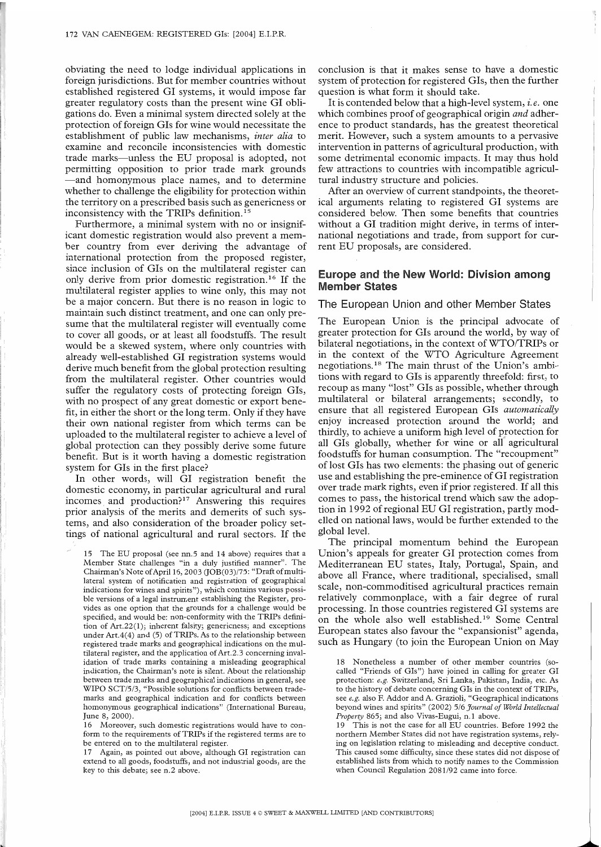obviating the need to lodge individual applications in foreign jurisdictions. But for member countries without established registered GI systems, it would impose far greater regulatory costs than the present wine GI obligations do. Even a minimal system directed solely at the protection of foreign GIs for wine would necessitate the establishment of public law mechanisms, *inter alia* to examine and reconcile inconsistencies with domestic trade marks—unless the EU proposal is adopted, not permitting opposition to prior trade mark grounds -and homonymous place names, and to determine whether to challenge the eligibility for protection within the territory on a prescribed basis such as genericness or inconsistency with the TRIPs definition.<sup>15</sup>

Furthermore, a minimal system with no or insignificant domestic registration would also prevent a member country from ever deriving the advantage of international protection from the proposed register, since inclusion of GIs on the multilateral register can only derive from prior domestic registration.<sup>16</sup> If the multilateral register applies to wine only, this may not be a major concern. But there is no reason in logic to maintain such distinct treatment, and one can only presume that the multilateral register will eventually come to cover all goods, or at least all foodstuffs. The result would be a skewed system, where only countries with already well-established GI registration systems would derive much benefit from the global protection resulting from the multilateral register. Other countries would suffer the regulatory costs of protecting foreign GIs, with no prospect of any great domestic or export benefit, in either the short or the long term. Only if they have their own national register from which terms can be uploaded to the multilateral register to achieve a level of global protection can they possibly derive some future benefit. But is it worth having a domestic registration system for GIs in the first place?

In other words, will GI registration benefit the domestic economy, in particular agricultural and rural incomes and production?17 Answering this requires prior analysis of the merits and demerits of such systems, and also consideration of the broader policy settings of national agricultural and rural sectors. If the

15 The EU proposal (see nn.5 and 14 above) requires that a Member State challenges "in a duly justified manner". The Chairman's Note of April 16, 2003 (JOB(03)/75: "Draft of multilateral system of notification and registration of geographical indications for wines and spirits"), which contains various possible versions of a legal instrument establishing the Register, provides as one option that the grounds for a challenge would be specified, and would be: non-conformity with the TRIPs definition of Art.22(1); inherent falsity; genericness; and exceptions under Art.4(4) and (5) of TRIPs. As to the relationship between registered trade marks and geographical indications on the multilateral register, and the application of Art.2.3 concerning invalidation of trade marks containing a misleading geographical indication, the Chairman's note is silent. About the relationship between trade marks and geographical indications in general, see WIPO SCT/5/3, "Possible solutions for conflicts between trademarks and geographical indication and for conflicts between homonymous geographical indications" (International Bureau, June 8, 2000).

16 Moreover, such domestic registrations would have to conform to the requirements of TRIPs if the registered terms are to be entered on to the multilateral register.

17 Again, as pointed out above, although GI registration can extend to all goods, foodstuffs, and not industrial goods, are the key to this debate; see n.2 above.

conclusion is that it makes sense to have a domestic system of protection for registered GIs, then the further question is what form it should take.

It is contended below that a high-level system, *i.e.* one which combines proof of geographical origin *and* adherence to product standards, has the greatest theoretical merit. However, such a system amounts to a pervasive intervention in patterns of agricultural production, with some detrimental economic impacts. It may thus hold few attractions to countries with incompatible agricultural industry structure and policies.

After an overview of current standpoints, the theoretical arguments relating to registered GI systems are considered below. Then some benefits that countries without a GI tradition might derive, in terms of international negotiations and trade, from support for current EU proposals, are considered.

# **Europe and the New World: Division among Member States**

#### The European Union and other Member States

The European Union is the principal advocate of greater protection for GIs around the world, by way of bilateral negotiations, in the context of WTO/TRIPs or in the context of the WTO Agriculture Agreement negotiations.18 The main thrust of the Union's ambitions with regard to GIs is apparently threefold: first, to recoup as many "lost" GIs as possible, whether through multilateral or bilateral arrangements; secondly, to ensure that all registered European GIs *automatically* enjoy increased protection around the world; and thirdly, to achieve a uniform high level of protection for all GIs globally, whether for wine or all agricultural foodstuffs for human consumption. The "recoupment" of lost GIs has two elements: the phasing out of generic use and establishing the pre-eminence of GI registration over trade mark rights, even if prior registered. If all this comes to pass, the historical trend which saw the adoption in 1992 of regional EU GI registration, partly modelled on national laws, would be further extended to the global level.

The principal momentum behind the European Union's appeals for greater GI protection comes from Mediterranean EU states, Italy, Portugal, Spain, and above all France, where traditional, specialised, small scale, non-commoditised agricultural practices remain relatively commonplace, with a fair degree of rural processing. In those countries registered GI systems are on the whole also well established.19 Some Central European states also favour the "expansionist" agenda, such as Hungary (to join the European Union on May

18 Nonetheless a number of other member countries (socalled "Friends of GIs") have joined in calling for greater GI protection: *e.g.* Switzerland, Sri Lanka, Pakistan, India, etc. As to the history of debate concerning GIs in the context of TRIPs, see *e.g.* also F. Addor and A. Grazioli, "Geographical indications beyond wines and spirits" (2002) 5/6 *Journal of World Intellectual Property* 865; and also Vivas-Eugui, n. 1 above.

19 This is not the case for all EU countries. Before 1992 the northern Member States did not have registration systems, relying on legislation relating to misleading and deceptive conduct. This caused some difficulty, since these states did not dispose of established lists from which to notify names to the Commission when Council Regulation 2081/92 came into force.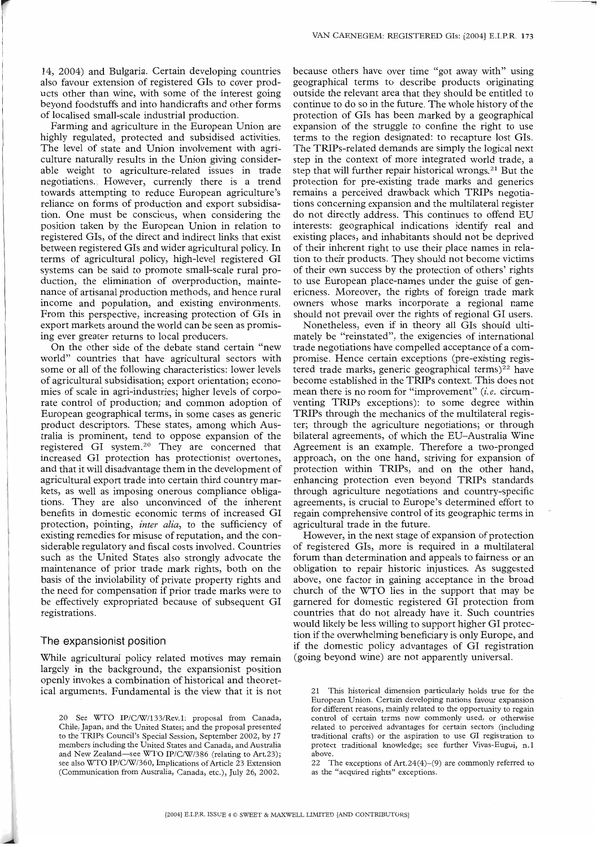14, 2004) and Bulgaria. Certain developing countries also favour extension of registered Gls to cover products other than wine, with some of the interest going beyond foodstuffs and into handicrafts and other forms of localised small-scale industrial production.

Farming and agriculture in the European Union are highly regulated, protected and subsidised activities. The level of state and Union involvement with agriculture naturally results in the Union giving considerable weight to agriculture-related issues in trade negotiations. However, currently there is a trend towards attempting to reduce European agriculture's reliance on forms of production and export subsidisation. One must be conscious, when considering **the** position taken by the European Union in relation to registered GIs, of the direct and indirect links that exist between registered GIs and wider agricultural policy. In terms of agricultural policy, high-level registered GI systems can be said to promote small-scale rural production, the elimination of overproduction, maintenance of artisanal production methods, and hence rural income and population, and existing environments. From this perspective, increasing protection of GIs in export markets around the world can be seen as promising ever greater returns to local producers.

On the other side of the debate stand certain "new world" countries that have agricultural sectors with some or all of the following characteristics: lower levels of agricultural subsidisation; export orientation; economies of scale in agri-industries; higher levels of corporate control of production; and common adoption of European geographical terms, in some cases as generic product descriptors. These states, among which Australia is prominent, tend to oppose expansion of the registered GI system.2° They are concerned that increased GI protection has protectionist overtones, and that it will disadvantage them in the development of agricultural export trade into certain third country markets, as well as imposing onerous compliance obligations. They are also unconvinced of the inherent benefits in domestic economic terms of increased GI protection, pointing, *inter alia,* to the sufficiency of existing remedies for misuse of reputation, and the considerable regulatory and fiscal costs involved. Countries such as the United States also strongly advocate **the** maintenance of prior trade mark rights, both on the basis of the inviolability of private property rights and **the** need for compensation if prior trade marks were to be effectively expropriated because of subsequent GI registrations.

# **The** expansionist position

While agricultural policy related motives may remain largely in the background, the expansionist position openly invokes a combination of historical and theoretical arguments. Fundamental is the view that it is not because others have over time "got away with" using geographical terms to describe products originating outside the relevant area that they should be entitled to continue to do so in the future. The whole history of the protection of GIs has been marked by a geographical expansion of the struggle to confine the right to use terms to the region designated: to recapture lost GIs. The TRIPs-related demands are simply the logical next step in the context of more integrated world trade, a step that will further repair historical wrongs.<sup>21</sup> But the protection for pre-existing trade marks and generics remains a perceived drawback which TRIPs negotiations concerning expansion and the multilateral register do not directly address. This continues to offend EU interests: geographical indications identify real and existing places, and inhabitants should not be deprived of their inherent right to use their place names in relation to their products. They should not become victims of their own success by the protection of others' rights to use European place-names under the guise of genericness. Moreover, the rights of foreign trade mark owners whose marks incorporate a regional name should not prevail over the rights of regional GI users.

Nonetheless, even if in theory all GIs should ultimately be "reinstated", the exigencies of international trade negotiations have compelled acceptance of a compromise. Hence certain exceptions (pre-existing registered trade marks, generic geographical terms)<sup>22</sup> have become established in the TRIPs context. This does not mean there is no room for "improvement" (i.e. circumventing TRIPs exceptions): to some degree within TRIPs through the mechanics of the multilateral register; through the agriculture negotiations; or through bilateral agreements, of which the EU-Australia Wine Agreement is an example. Therefore a two-pronged approach, on the one hand, striving for expansion of protection within TRIPs, and on the other hand, enhancing protection even beyond TRIPs standards through agriculture negotiations and country-specific agreements, is crucial to Europe's determined effort to regain comprehensive control of its geographic terms in agricultural trade in the future.

However, in the next stage of expansion of protection of registered GIs, more is required in a multilateral forum than determination and appeals to fairness or an obligation to repair historic injustices. As suggested above, one factor in gaining acceptance in the broad church of the WTO lies in the support that may be garnered for domestic registered GI protection from countries that do not already have it. Such countries would likely be less willing to support higher GI protection if the overwhelming beneficiary is only Europe, and if the domestic policy advantages of GI registration (going beyond wine) are not apparently universal.

<sup>20</sup> See WTO IP/C/W/133/Rev.1: proposal from Canada, Chile, Japan, and the United States; and the proposal presented to the TRIPs Council's Special Session, September 2002, by 17 members including the United States and Canada, and Australia and New Zealand-see WTO IP/C/W/386 (relating to Art.23); **see** also WTO IP/C/W/360, Implications of Article 23 Extension (Communication from Australia, Canada, etc.), July 26, 2002.

<sup>21</sup> This historical dimension particularly holds true for the European Union. Certain developing nations favour expansion for different reasons, mainly related to the opportunity to regain control of certain terms now commonly used, or otherwise related to perceived advantages for certain sectors (including traditional crafts) or the aspiration to use GI registration to protect traditional knowledge; see further Vivas-Eugui, n.1 above.

<sup>22</sup> The exceptions of Art.24(4)-(9) are commonly referred to as the "acquired rights" exceptions.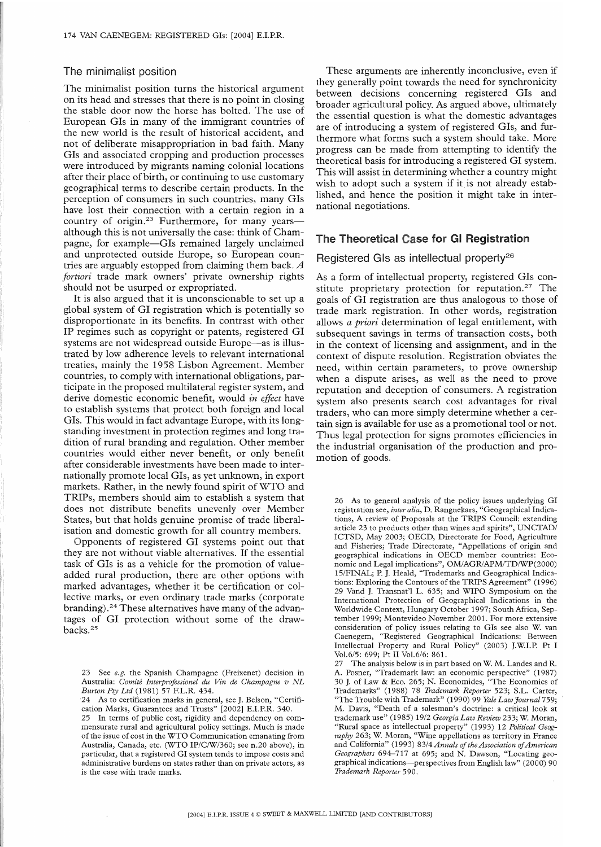#### The minimalist position

The minimalist position turns the historical argument on its head and stresses that there is no point in closing the stable door now the horse has bolted. The use of European GIs in many of the immigrant countries of the new world is the result of historical accident, and not of deliberate misappropriation in bad faith. Many GIs and associated cropping and production processes were introduced by migrants naming colonial locations after their place of birth, or continuing to use customary geographical terms to describe certain products. In the perception of consumers in such countries, many GIs have lost their connection with a certain region in a country of origin.23 Furthermore, for many yearsalthough this is not universally the case: think of Champagne, for example-GIs remained largely unclaimed and unprotected outside Europe, so European countries are arguably estopped from claiming them back. A *fortiori* trade mark owners' private ownership rights should not be usurped or expropriated.

It is also argued that it is unconscionable to set up a global system of GI registration which is potentially so disproportionate in its benefits. In contrast with other IP regimes such as copyright or patents, registered GI systems are not widespread outside Europe—as is illustrated by low adherence levels to relevant international treaties, mainly the 1958 Lisbon Agreement. Member countries, to comply with international obligations, participate in the proposed multilateral register system, and derive domestic economic benefit, would *in effect* have to establish systems that protect both foreign and local GIs. This would in fact advantage Europe, with its longstanding investment in protection regimes and long tradition of rural branding and regulation. Other member countries would either never benefit, or only benefit after considerable investments have been made to internationally promote local GIs, as yet unknown, in export markets. Rather, in the newly found spirit of WTO and TRIPs, members should aim to establish a system that does not distribute benefits unevenly over Member States, but that holds genuine promise of trade liberalisation and domestic growth for all country members.

Opponents of registered GI systems point out that they are not without viable alternatives. If the essential task of GIs is as a vehicle for the promotion of valueadded rural production, there are other options with marked advantages, whether it be certification or collective marks, or even ordinary trade marks (corporate branding).<sup>24</sup> These alternatives have many of the advantages of OI protection without some of the drawbacks.<sup>25</sup>

These arguments are inherently inconclusive, even if they generally point towards the need for synchronicity between decisions concerning registered GIs and broader agricultural policy. As argued above, ultimately the essential question is what the domestic advantages are of introducing a system of registered GIs, and furthermore what forms such a system should take. More progress can be made from attempting to identify the theoretical basis for introducing a registered GI system. This will assist in determining whether a country might wish to adopt such a system if it is not already established, and hence the position it might take in international negotiations.

# **The Theoretical Case for G! Registration**

# Registered GIs as intellectual property26

As a form of intellectual property, registered GIs constitute proprietary protection for reputation.<sup>27</sup> The goals of GI registration are thus analogous to those of trade mark registration. In other words, registration allows *a priori* determination of legal entitlement, with subsequent savings in terms of transaction costs, both in the context of licensing and assignment, and in the context of dispute resolution. Registration obviates the need, within certain parameters, to prove ownership when a dispute arises, as well as the need to prove reputation and deception of consumers. A registration system also presents search cost advantages for rival traders, who can more simply determine whether a certain sign is available for use as a promotional tool or not. Thus legal protection for signs promotes efficiencies in the industrial organisation of the production and promotion of goods.

26 As to general analysis of the policy issues underlying GI registration see, *inter alia,* D. Rangnekars, "Geographical Indications, A review of Proposals at the TRIPS Council: extending article 23 to products other than wines and spirits", UNCTAD/ ICTSD, May 2003; OECD, Directorate for Food, Agriculture and Fisheries; Trade Directorate, "Appellations of origin and geographical indications in OECD member countries: Economic and Legal implications", OM/AGR/APM/TD/WP(2000) 15/FINAL; R J. Heald, "Trademarks and Geographical Indications: Exploring the Contours of the TRIPS Agreement" (1996) 29 Vand J. Transnat'l L. 635; and WIPO Symposium on the International Protection of Geographical Indications in the Worldwide Context, Hungary October 1997; South Africa, September 1999; Montevideo November 2001. For more extensive consideration of policy issues relating to GIs see also W. van Caenegem, "Registered Geographical Indications: Between Intellectual Property and Rural Policy" (2003) J.W.I.R Pt I Vol.6/5: 699; Pt II Vol.6/6: 861.

The analysis below is in part based on W. M. Landes and R. A. Posner, "Trademark law: an economic perspective" (1987) 30 J. of Law & Eco. 265; N. Economides, "The Economics of Trademarks" (1988) 78 *Trademark Reporter* 523; S.L. Carter, "The Trouble with Trademark" (1990) 99 *Yale Law Journal* 759; M. Davis, "Death of a salesman's doctrine: a critical look at trademark use" (1985) 19/2 *Georgia Law Review* 233; W. Moran, "Rural space as intellectual property" (1993) 12 *Political Geography* 263; W. Moran, "Wine appellations as territory in France and California" (1993) 83/4 *Annals of the Association of American Geographers* 694-717 at 695; and N. Dawson, "Locating geographical indications--perspectives from English law" (2000) 90 *Trademark Reporter* 590.

<sup>23</sup> See *e.g. the* Spanish Champagne (Freixenet) decision in Australia: *Comird Inrerprofessionel du Vin de Champagne v NL Burton Pry Lrd* (1981) 57 EL.R. 434.

<sup>24</sup> As to certification marks in general, see J. Belson, "Certification Marks, Guarantees and Trusts" [2002] E.I.P.R. 340.

<sup>25</sup> In terms of public cost, rigidity and dependency on commensurate rural and agricultural policy settings. Much is made of the issue of cost in the WTO Communication emanating from Australia, Canada, etc. (WTO IP/C/W/360; see n.20 above), in particular, that a registered GI system tends to impose costs and administrative burdens on states rather than on private actors, as is the case with trade marks.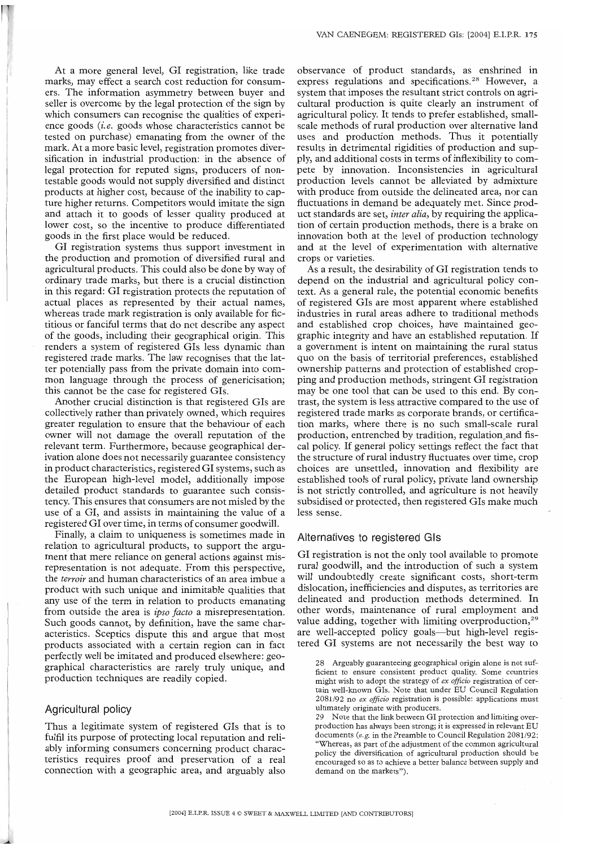At a more general level, GI registration, like trade marks, may effect a search cost reduction for consumers. The information asymmetry between buyer and seller is overcome by the legal protection of the sign by which consumers can recognise the qualities of experience goods *(i.e.* goods whose characteristics cannot be tested on purchase) emanating from the owner of the mark. At a more basic level, registration promotes diversification in industrial production: in the absence of legal protection for reputed signs, producers of nontestable goods would not supply diversified and distinct products at higher cost, because of the inability to capture higher returns. Competitors would imitate the sign and attach it to goods of lesser quality produced at lower cost, so the incentive to produce differentiated goods in the first place would be reduced.

GI registration systems thus support investment in the production and promotion of diversified rural and agricultural products. This could also be done by way of ordinary trade marks, but there is a crucial distinction in this regard: GI registration protects the reputation of actual places as represented by their actual names, whereas trade mark registration is only available for fictitious or fanciful terms that do not describe any aspect of the goods, including their geographical origin. This renders a system of registered GIs less dynamic than registered trade marks. The law recognises that the latter potentially pass from the private domain into common language through the process of genericisation; this cannot be the case for registered GIs.

Another crucial distinction is that registered GIs are collectively rather than privately owned, which requires greater regulation to ensure that the behaviour of each owner will not damage the overall reputation of the relevant term. Furthermore, because geographical derivation alone does not necessarily guarantee consistency in product characteristics, registered GI systems, such as the European high-level model, additionally impose detailed product standards to guarantee such consistency. This ensures that consumers are not misled by the use of a GI, and assists in maintaining the value of a registered GI over time, in terms of consumer goodwill.

Finally, a claim to uniqueness is sometimes made in relation to agricultural products, to support the argument that mere reliance on general actions against misrepresentation is not adequate. From this perspective, the *terroir* and human characteristics of an area imbue a product with such unique and inimitable qualities that any use of the term in relation to products emanating from outside the area is *ipso facto* a misrepresentation. Such goods cannot, by definition, have the same characteristics. Sceptics dispute this and argue that most products associated with a certain region can in fact perfectly well be imitated and produced elsewhere: geographical characteristics are rarely truly unique, and production techniques are readily copied.

# Agricultural **policy**

Thus a legitimate system of registered OIs that is to fulfil its purpose of protecting local reputation and reliably informing consumers concerning product characteristics requires proof and preservation of a real connection with a geographic area, and arguably also observance of product standards, as enshrined in express regulations and specifications.<sup>28</sup> However, a system that imposes the resultant strict controls on agricultural production is quite clearly an instrument of agricultural policy. It tends to prefer established, smallscale methods of rural production over alternative land uses and production methods. Thus it potentially results in detrimental rigidities of production and supply, and additional costs in terms of inflexibility to compete by innovation. Inconsistencies in agricultural production levels cannot be alleviated by admixture with produce from outside the delineated area, nor can fluctuations in demand be adequately met. Since product standards are set, *inter alia,* by requiring the application of certain production methods, there is a brake on innovation both at the level of production technology and at the level of experimentation with alternative crops or varieties.

As a result, the desirability of GI registration tends to depend on the industrial and agricultural policy context. As a general rule, the potential economic benefits of registered GIs are most apparent where established industries in rural areas adhere to traditional methods and established crop choices, have maintained geographic integrity and have an established reputation. If a government is intent on maintaining the rural status quo on the basis of territorial preferences, established ownership patterns and protection of established cropping and production methods, stringent GI registration may be one tool that can be used to this end. By contrast, the system is less attractive compared to the use of registered trade marks as corporate brands, or certification marks, where there is no such small-scale rural production, entrenched by tradition, regulation and fiscal policy. If general policy settings reflect the fact that the structure of rural industry fluctuates over time, crop choices are unsettled, innovation and flexibility are established tools of rural policy, private land ownership is not strictly controlled, and agriculture is not heavily subsidised or protected, then registered GIs make much less sense.

# **Alternatives to registered GIs**

GI registration is not the only tool available to promote rural goodwill, and the introduction of such a system will undoubtedly create significant costs, short-term dislocation, inefficiencies and disputes, as territories are delineated and production methods determined. In other words, maintenance of rural employment and value adding, together with limiting overproduction,<sup>29</sup> are well-accepted policy goals—but high-level registered GI systems are not necessarily the best way to

28 Arguably guaranteeing geographical origin alone is not sufficient to ensure consistent product quality. Some countries might wish to adopt the strategy of *ex officio* registration of certain well-known GIs. Note that under EU Council Regulation 2081/92 no *ex officio* registration is possible: applications must ultimately originate with producers.

29 Note that the link between GI protection and limiting overproduction has always been strong; it is expressed in relevant EU documents *(e.g.* in the Preamble to Council Regulation 2081/92: "Whereas, as part of the adjustment of the common agricultural policy the diversification of agricultural production should be encouraged so as to achieve a better balance between supply and demand on the markets").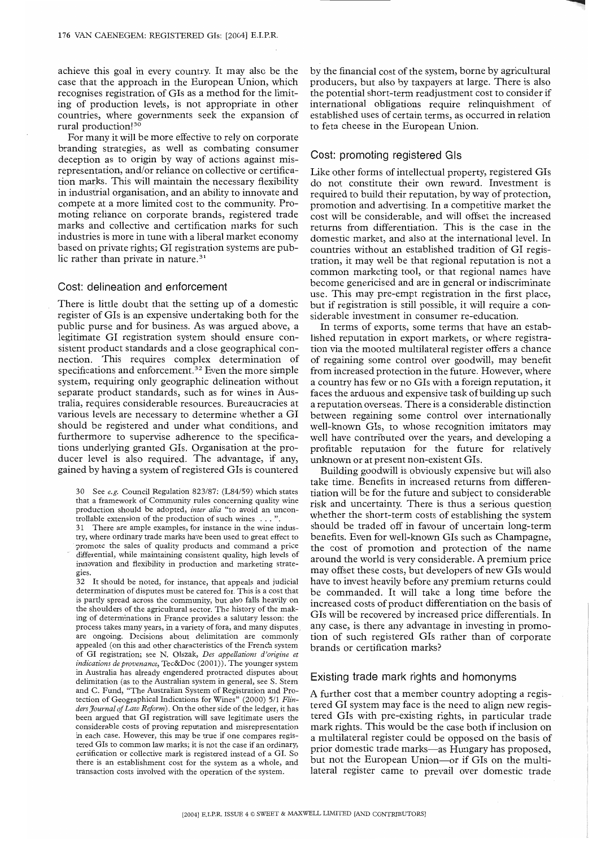achieve this goal in every country. It may also be the case that the approach in the European Union, which recognises registration of GIs as a method for the limiting of production levels, is not appropriate in other countries, where governments seek the expansion of rural production!<sup>30</sup>

For many it will be more effective to rely on corporate branding strategies, as well as combating consumer deception as to origin by way of actions against misrepresentation, and/or reliance on collective or certification marks. This will maintain the necessary flexibility in industrial organisation, and an ability to innovate and compete at a more limited cost to the community. Promoting reliance on corporate brands, registered trade marks and collective and certification marks for such industries is more in tune with a liberal market economy based on private rights; GI registration systems are public rather than private in nature.<sup>31</sup>

## Cost: delineation and enforcement

There is little doubt that the setting up of a domestic register of GIs is an expensive undertaking both for the public purse and for business. As was argued above, a legitimate GI registration system should ensure consistent product standards and a close geographical connection. This requires complex determination of specifications and enforcement.<sup>32</sup> Even the more simple system, requiring only geographic delineation without separate product standards, such as for wines in Australia, requires considerable resources. Bureaucracies at various levels are necessary to determine whether a GI should be registered and under what conditions, and furthermore to supervise adherence to the specifications underlying granted GIs. Organisation at the producer level is also required. The advantage, if any, gained by having a system of registered GIs is countered

30 See *e.g.* Council Regulation 823187: (L84/59) which states that a framework of Community rules concerning quality wine production should be adopted, *inter alia* "to avoid an uncontrollable extension of the production of such wines . . . ".

31 There are ample examples, for instance in the wine indus try, where ordinary trade marks have been used to great effect to promote the sales of quality products and command a price differential, while maintaining consistent quality, high levels of innovation and flexibility in production and marketing strategies.

32 It should be noted, for instance, that appeals and judicial determination of disputes must be catered for. This is a cost that is partly spread across the community, but also fails heavily on the shoulders of the agricultural sector. The history of the making of determinations in France provides a salutary lesson: the process takes many years, in a variety of fora, and many disputes, are ongoing. Decisions about delimitation are commonly appealed (on this and other characteristics of the French system of GI registration; see N. Olszak, *Des appellations d'origine et indications de provenance,* Tec&Doc (2001)). The younger system in Australia has already engendered protracted disputes about delimitation (as to the Australian system in general, see S. Stern and C. Fund, "The Australian System of Registration and Protection of Geographical Indications for Wines" (2000) 511 *Flin*ders Journal of Law Reform). On the other side of the ledger, it has been argued that GI registration will save legitimate users the considerable costs of proving reputation and misrepresentation in each case. However, this may be true if one compares registered GIs to common law marks; it is not the case if an ordinary, certification or collective mark is registered instead of a GI. So there is an establishment cost for the system as a whole, and transaction costs involved with the operation of the system.

by the financial cost of the system, borne by agricultural producers, but also by taxpayers at large. There is also the potential short-term readjustment cost to consider if international obligations require relinquishment of established uses of certain terms, as occurred in relation to feta cheese in the European Union.

# Cost: promoting registered GIs

Like other forms of intellectual property, registered GIs do not constitute their own reward. Investment is required to build their reputation, by way of protection, promotion and advertising. In a competitive market the cost will be considerable, and will offset the increased returns from differentiation. This is the case in the domestic market, and also at the international level. In countries without an established tradition of GI registration, it may well be that regional reputation is not a common marketing tool, or that regional names have become genericised and are in general or indiscriminate use. This may pre-empt registration in the first place, but if registration is still possible, it will require a considerable investment in consumer re-education.

In terms of exports, some terms that have an established reputation in export markets, or where registration via the mooted multilateral register offers a chance of regaining some control over goodwill, may benefit from increased protection in the future. However, where a country has few or no GIs with a foreign reputation, it faces the arduous and expensive task of building up such a reputation overseas. There is a considerable distinction between regaining some control over internationally well-known GIs, to whose recognition imitators may well have contributed over the years, and developing a profitable reputation for the future for relatively unknown or at present non-existent GIs.

Building goodwill is obviously expensive but will also take time. Benefits in increased returns from differentiation will be for the future and subject to considerable risk and uncertainty. There is thus a serious question whether the short-term costs of establishing the system should be traded off in favour of uncertain long-term benefits. Even for well-known GIs such as Champagne, the cost of promotion and protection of the name around the world is very considerable. A premium price may offset these costs, but developers of new GIs would have to invest heavily before any premium returns could be commanded. It will take a long time before the increased costs of product differentiation on the basis of GIs will be recovered by increased price differentials. In any case, is there any advantage in investing in promotion of such registered GIs rather than of corporate brands or certification marks?

# Existing trade mark rights and homonyms

A further cost that a member country adopting a registered GI system may face is the need to align new registered GIs with pre-existing rights, in particular trade mark rights. This would be the case both if inclusion on a multilateral register could be opposed on the basis of prior domestic trade marks—as Hungary has proposed, but not the European Union-or if GIs on the multilateral register came to prevail over domestic trade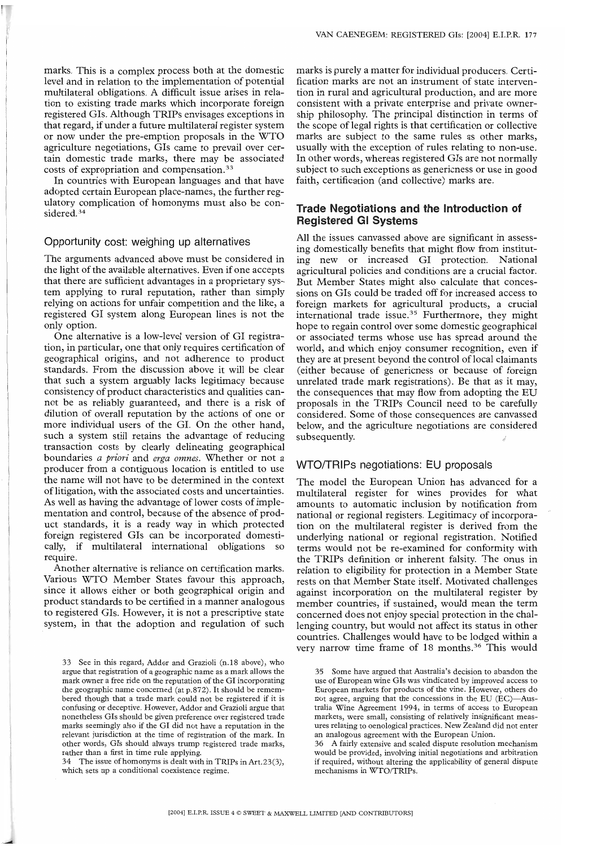marks. This is a complex process both at the domestic level and in relation to the implementation of potential multilateral obligations. A difficult issue arises in relation to existing trade marks which incorporate foreign registered GIs. Although TRIPs envisages exceptions in that regard, if under a future multilateral register system or now under the pre-emption proposals in the WTO agriculture negotiations, GIs came to prevail over certain domestic trade marks, there may be associated costs of expropriation and compensation.33

In countries with European languages and that have adopted certain European place-names, the further regulatory complication of homonyms must also be considered.<sup>34</sup>

#### Opportunity **cost: weighing up alternatives**

The arguments advanced above must be considered in the light of the available alternatives. Even if one accepts that there are sufficient advantages in a proprietary system applying to rural reputation, rather than simply relying on actions for unfair competition and the like, a registered GI system along European lines is not the only option.

One alternative is a low-level version of GI registration, in particular, one that only requires certification of geographical origins, and not adherence to product standards. From the discussion above it will be clear that such a system arguably lacks legitimacy because consistency of product characteristics and qualities cannot be as reliably guaranteed, and there is a risk of dilution of overall reputation by the actions of one or more individual users of the GI. On the other hand, such a system still retains the advantage of reducing transaction costs by clearly delineating geographical boundaries *a priori* and *erga omnes.* Whether or not a producer from a contiguous location is entitled to use the name will not have to be determined in the context of litigation, with the associated costs and uncertainties. As well as having the advantage of lower costs of implementation and control, because of the absence of product standards, it is a ready way in which protected foreign registered GIs can be incorporated domestically, if multilateral international obligations so require.

Another alternative is reliance on certification marks. Various WTO Member States favour this approach, since it allows either or both geographical origin and product standards to be certified in a manner analogous to registered GIs. However, it is not a prescriptive state system, in that the adoption and regulation of such

34 The issue of homonyms is dealt with in TRIPs in Art.23(3), which sets up a conditional coexistence regime.

marks is purely a matter for individual producers. Certification marks are not an instrument of state intervention in rural and agricultural production, and are more consistent with a private enterprise and private ownership philosophy. The principal distinction in terms of the scope of legal rights is that certification or collective marks are subiect to the same rules as other marks, usually with the exception of rules relating to non-use. In other words, whereas registered GIs are not normally subiect to such exceptions as genericness or use in good faith, certification (and collective) marks are.

# **Trade Negotiations and the introduction of Registered GI Systems**

All the issues canvassed above are significant in assessing domestically benefits that might flow from instituting new or increased GI protection. National agricultural policies and conditions are a crucial factor. But Member States might also calculate that concessions on GIs could be traded off for increased access to foreign markets for agricultural products, a crucial international trade issue.<sup>35</sup> Furthermore, they might hope to regain control over some domestic geographical or associated terms whose use has spread around the world, and which enjoy consumer recognition, even if they are at present beyond the control of local claimants (either because of genericness or because of foreign unrelated trade mark registrations). Be that as it may, the consequences that may flow from adopting the EU proposals in the TRIPs Council need to be carefully considered. Some of those consequences are canvassed below, and the agriculture negotiations are considered subsequently.

#### WTO/TRIPs **negotiations: EU proposals**

The model the European Union has advanced for a multilateral register for wines provides for what amounts to automatic inclusion by notification from national or regional registers. Legitimacy of incorporation on the multilateral register is derived from the underlying national or regional registration. Notified terms would not be re-examined for conformity with the TRIPs definition or inherent falsity. The onus in relation to eligibility for protection in a Member State rests on that Member State itself. Motivated challenges against incorporation on the multilateral register by member countries, if sustained, would mean the term concerned does not enioy special protection in the challenging country, but would not affect its status in other countries. Challenges would have to be lodged within a very narrow time frame of 18 months.<sup>36</sup> This would

<sup>33</sup> See in this regard, Addor and Grazioli (n.18 above), who argue that registration of a geographic name as a mark allows the mark owner a free ride on the reputation of the GI incorporating the geographic name concerned (at p.872). It should be remembered though that a trade mark could not be registered if it is confusing or deceptive. However, Addor and Grazioli argue that nonetheless GIs should be given preference over registered trade marks seemingly also if the GI did not have a reputation in the relevant jurisdiction at the time of registration of the mark. In other words, GIs should always trump registered trade marks, rather than a first in time rule applying.

<sup>35</sup> Some have argued that Australia's decision to abandon the use of European wine GIs was vindicated by improved access to European markets for products of the vine. However, others do not agree, arguing that the concessions in the EU (EC)-Australia Wine Agreement 1994, in terms of access to European markets, were small, consisting of relatively insignificant measures relating to oenological practices. New Zealand did not enter an analogous agreement with the European Union.

<sup>36</sup> A fairly extensive and scaled dispute resolution mechanism would be provided, involving initial negotiations and arbitration if required, without altering the applicability of general dispute mechanisms in WTO/TRIPs.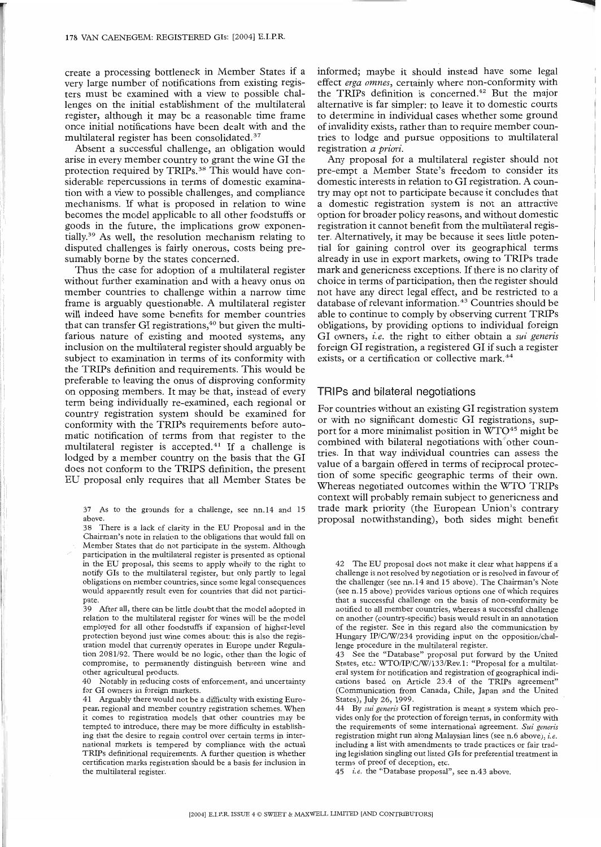create a processing bottleneck in Member States if a very large number of notifications from existing registers must be examined with a view to possible challenges on the initial establishment of the multilateral register, although it may be a reasonable time frame once initial notifications have been dealt with and the multilateral register has been consolidated.<sup>37</sup>

Absent a successful challenge, an obligation would arise in every member country to grant the wine GI the protection required by TRIPs.<sup>38</sup> This would have considerable repercussions in terms of domestic examination with a view to possible challenges, and compliance mechanisms. If what is proposed in relation to wine becomes the model applicable to all other foodstuffs or goods in the future, the implications grow exponentially.39 As well, the resolution mechanism relating to disputed challenges is fairly onerous, costs being presumably borne by the states concerned.

Thus the case for adoption of a multilateral register without further examination and with a heavy onus on member countries to challenge within a narrow time frame is arguably questionable. A multilateral register will indeed have some benefits for member countries that can transfer GI registrations, $40$  but given the multifarious nature of existing and mooted systems, any inclusion on the multilateral register should arguably be subject to examination in terms of its conformity with the TRIPs definition and requirements. This would be preferable to leaving the onus of disproving conformity on opposing members. It may be that, instead of every term being individually re-examined, each regional or country registration system should be examined for conformity with the TRIPs requirements before automatic notification of terms from that register to the multilateral register is accepted. $41$  If a challenge is lodged by a member country on the basis that the GI does not conform to the TRIPS definition, the present EU proposal only requires that all Member States be

39 After all, there can be little doubt that the model adopted in relation to the multilateral register for wines will be the model employed for all other foodstuffs if expansion of higher-level protection beyond just wine comes about: this is also the registration model that currently operates in Europe under Regulation 2081/92. There would be no logic, other than the logic of compromise, to permanently distinguish between wine and other agricultural products.

40 Notably in reducing costs of enforcement, and uncertainty for GI owners in foreign markets.

41 Arguably there would not be a difficulty with existing European regional and member country registration schemes. When it comes to registration models that other countries may be tempted to introduce, there may be more difficulty in establishing that the desire to regain control over certain terms in international markets is tempered by compliance with the actual TRIPs definitional requirements. A further question is whether certification marks registration should be a basis for inclusion in the multilateral register.

informed; maybe it should instead have some legal effect erga omnes, certainly where non-conformity with the TRIPs definition is concerned.42 But the major alternative is far simpler: to leave it to domestic courts to determine in individual cases whether some ground of invalidity exists, rather than to require member countries to lodge and pursue oppositions to multilateral registration *a priori.*

Any proposal for a multilateral register should not pre-empt a Member State's freedom to consider its domestic interests in relation to GI registration. A country may opt not to participate because it concludes that a domestic registration system is not an attractive option for broader policy reasons, and without domestic registration it cannot benefit from the multilateral register. Alternatively, it may be because it sees little potential for gaining control over its geographical terms already in use in export markets, owing to TRIPs trade mark and genericness exceptions. If there is no clarity of choice in terms of participation, then the register should not have any direct legal effect, and be restricted to a database of relevant information.<sup>43</sup> Countries should be able to continue to comply by observing current TRIPs obligations, by providing options to individual foreign GI owners, *i.e.* the right to either obtain a *sui generis* foreign GI registration, a registered GI if such a register exists, or a certification or collective mark.<sup>44</sup>

### TRIPs and bilateral negotiations

For countries without an existing GI registration system or with no significant domestic GI registrations, support for a more minimalist position in WTO<sup>45</sup> might be combined with bilateral negotiations with<sup>other</sup> countries. In that way individual countries can assess the value of a bargain offered in terms of reciprocal protection of some specific geographic terms of their own. Whereas negotiated outcomes within the WTO TRIPs context will probably remain subject to genericness and trade mark priority (the European Union's contrary proposal notwithstanding), both sides might benefit

43 See the "Database" proposal put forward by the United States, etc.: WTO/IP/C/W/133/Rev.1: "Proposal for a multilateral system for notification and registration of geographical indications based on Article 23.4 of the TRIPs agreement" (Communication from Canada, Chile, Japan and the United States), July 26, 1999.

44 *By sui generis* GI registration is meant a system which provides only for the protection of foreign terms, in conformity with the requirements of some international agreement. *Sui generis* registration might run along Malaysian lines (see n.6 above), i.e. including a list with amendments to trade practices or fair trading legislation singling out listed GIs for preferential treatment in terms of proof of deception, etc.

45 *i.e. the* "Database proposal", see n.43 above.

<sup>37</sup> As to the grounds for a challenge, see nn.14 and 15 above.

<sup>38</sup> There is a lack of clarity in the EU Proposal and in the Chairman's note in relation to the obligations that would fall on Member States that do not participate in the system. Although participation in the multilateral register is presented as optional in the EU proposal, this seems to apply wholly to the right to notify GIs to the multilateral register, but only partly to legal obligations on member countries, since some legal consequences would apparently result even for countries that did not participate.

<sup>42</sup> The EU proposal does not make it clear what happens if a challenge is not resolved by negotiation or is resolved in favour of the challenger (see nn.14 and 15 above). The Chairman's Note (see n. 15 above) provides various options one of which requires that a successful challenge on the basis of non-conformity be notified to all member countries, whereas a successful challenge on another (country-specific) basis would result in an annotation of the register. See in this regard also the communication by Hungary IP/C/W/234 providing input on the opposition/challenge procedure in the multilateral register.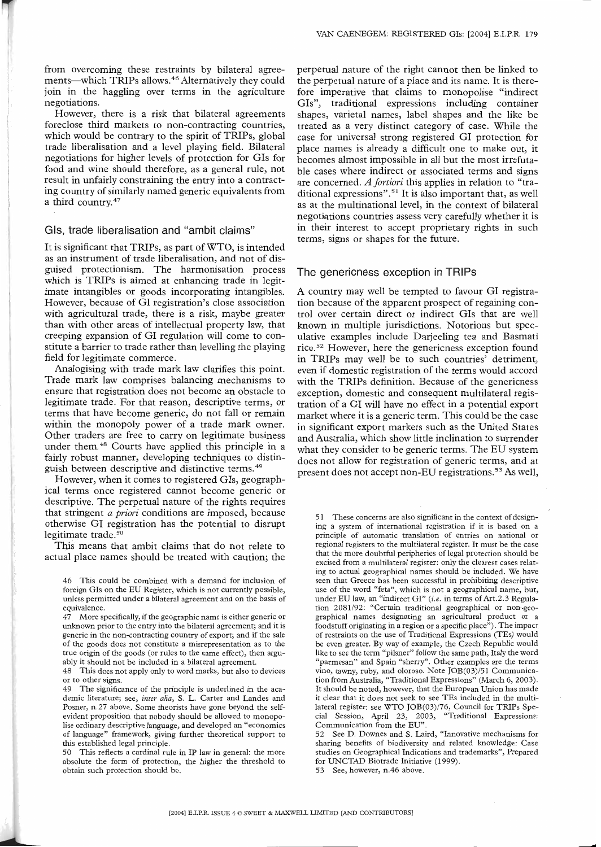from overcoming these restraints by bilateral agreements--which TRIPs allows.<sup>46</sup> Alternatively they could join in the haggling over terms in the agriculture negotiations.

However, there is a risk that bilateral agreements foreclose third markets to non-contracting countries, which would be contrary to the spirit of TRIPs, global trade liberalisation and a level playing field. Bilateral negotiations for higher levels of protection for GIs for food and wine should therefore, as a general rule, not result in unfairly constraining the entry into a contracting country of similarly named generic equivalents from a third country.47

# **GIs, trade liberalisation** and "ambit **claims"**

It is significant that TRIPs, as part of WTO, is intended as an instrument of trade liberalisation, and not of disguised protectionism. The harmonisation process which is TRIPs is aimed at enhancing trade in legitimate intangibles or goods incorporating intangibles. However, because of GI registration's close association with agricultural trade, there is a risk, maybe greater than with other areas of intellectual property law, that creeping expansion of GI regulation will come to constitute a barrier to trade rather than levelling the playing field for legitimate commerce.

Analogising with trade mark law clarifies this point. Trade mark law comprises balancing mechanisms to ensure that registration does not become an obstacle to legitimate trade. For that reason, descriptive terms, or terms that have become generic, do not fall or remain within the monopoly power of a trade mark owner. Other traders are free to carry on legitimate business under them.48 Courts have applied this principle in a fairly robust manner, developing techniques to distinguish between descriptive and distinctive terms.<sup>49</sup>

However, when it comes to registered GIs, geographical terms once registered cannot become generic or descriptive. The perpetual nature of the rights requires that stringent *a priori* conditions are imposed, because otherwise GI registration has the potential to disrupt legitimate trade.<sup>50</sup>

This means that ambit claims that do not relate to actual place names should be treated with caution; the

50 This reflects a cardinal rule in IP law in general: the more absolute the form of protection, the higher the threshold to obtain such protection should be.

perpetual nature of the right cannot then be linked to the perpetual nature of a place and its name. It is therefore imperative that claims to monopolise "indirect GIs", traditional expressions including container shapes, varietal names, label shapes and the like be treated as a very distinct category of case. While the case for universal strong registered GI protection for place names is already a difficult one to make out, it becomes almost impossible in all but the most irrefutable cases where indirect or associated terms and signs are concerned. *Aforriori* this applies in relation to "traditional expressions".<sup>51</sup> It is also important that, as well as at the multinational level, in the context of bilateral negotiations countries assess very carefully whether it is in their interest to accept proprietary rights in such terms, signs or shapes for the future.

### The genericness exception in TRIPs

A country may well be tempted to favour GI registration because of the apparent prospect of regaining control over certain direct or indirect GIs that are well known in multiple jurisdictions. Notorious but speculative examples include Darjeeling tea and Basmati rice.<sup>52</sup> However, here the genericness exception found in TRIPs may well be to such countries' detriment, even if domestic registration of the terms would accord with the TRIPs definition. Because of the genericness exception, domestic and consequent multilateral registration of a GI will have no effect in a potential export market where it is a generic term. This could be the case in significant export markets such as the United States and Australia, which show little inclination to surrender what they consider to be generic terms. The EU system does not allow for registration of generic terms, and at present does not accept non-EU registrations.<sup>53</sup> As well,

51 These concerns are also significant in the context of designing a system of international registration if it is based on a principle of automatic translation of entries on national or regional registers to the multilateral register. It must be the case that the more doubtful peripheries of legal protection should be excised from a multilateral register: only the clearest cases relating to actual geographical names should be included. We have seen that Greece has been successful in prohibiting descriptive use of the word "feta", which is not a geographical name, but, under EU law, an "indirect GI" *(i.e.* in terms of Art.2.3 Regulation 2081/92: "Certain traditional geographical or non-geographical names designating an agricultural product or a foodstuff originating in a region or a specific place"). The impact of restraints on the use of Traditional Expressions (TEs) would be even greater. By way of example, the Czech Republic would like to see the term "pilsner" follow the same path, Italy the word "parmesan" and Spain "sherry". Other examples are the terms vino, tawny, ruby, and oloroso. Note JOB(03)/51 Communication from Australia, "Traditional Expressions" (March 6, 2003). It should be noted, however, that the European Union has made it clear that it does not seek to see TEs included in the multilateral register: see WTO JOB(03)/76, Council for TRIPs Spe-<br>cial Session, April 23, 2003, "Traditional Expressions: cial Session, April 23, 2003, Communication from the EU".

52 See D. Downes and S. Laird, "Innovative mechanisms for sharing benefits of biodiversity and related knowledge: Case studies on Geographical Indications and trademarks", Prepared for UNCTAD Biotrade Initiative (1999).

53 See, however, n.46 above.

<sup>46</sup> This could be combined with a demand for inclusion of foreign GIs on the EU Register, which is not currently possible, unless permitted under a bilateral agreement and on the basis of equivalence.

<sup>47</sup> More specifically, if the geographic name is either generic or unknown prior to the entry into the bilateral agreement; and it is generic in the non-contracting country of export; and if the sale of the goods does not constitute a misrepresentation as to the true origin of the goods (or rules to the same effect), then arguably it should not be included in a bilateral agreement.

<sup>48</sup> This does not apply only to word marks, but also to devices or to other signs.

<sup>49</sup> The significance of the principle is underlined in the academic literature; see, *inter alia,* S. L. Garter and Landes and Posner, n.27 above. Some theorists have gone beyond the selfevident proposition that nobody should be allowed to monopolise ordinary descriptive language, and developed an "economics of language" framework, giving further theoretical support to this established legal principle.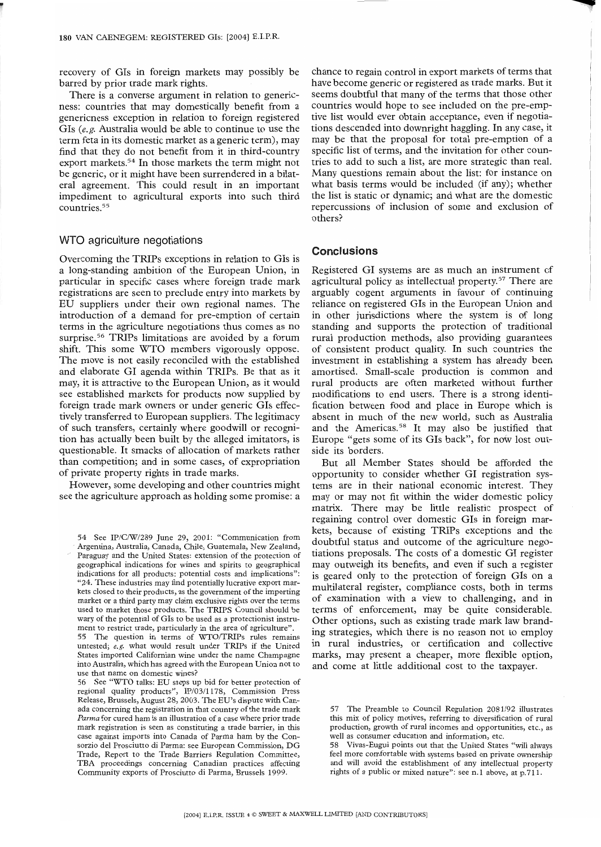recovery of GIs in foreign markets may possibly be barred by prior trade mark rights.

There is a converse argument in relation to genericness: countries that may domestically benefit from a genericness exception in relation to foreign registered GIs *(e.g.* Australia would be able to continue to use the term feta in its domestic market as a generic term), may find that they do not benefit from it in third-country export markets.54 In those markets the term might not be generic, or it might have been surrendered in a bilateral agreement. This could result in an important impediment to agricultural exports into such third countries. 55

#### WTO agriculture negotiations

Overcoming the TRIPs exceptions in relation to GIs is a long-standing ambition of the European Union, in particular in specific cases where foreign trade mark registrations are seen to preclude entry into markets by EU suppliers under their own regional names. The introduction of a demand for pre-emption of certain terms in the agriculture negotiations thus comes as no surprise.<sup>56</sup> TRIPs limitations are avoided by a forum shift. This some WTO members vigorously oppose. The move is not easily reconciled with the established and elaborate GI agenda within TRIPs. Be that as it may, it is attractive to the European Union, as it would see established markets for products now supplied by foreign trade mark owners or under generic GIs effectively transferred to European suppliers. The legitimacy of such transfers, certainly where goodwill or recognition has actually been built by the alleged imitators, is questionable. It smacks of allocation of markets rather than competition; and in some cases, of expropriation of private property rights in trade marks.

However, some developing and other countries might see the agriculture approach as holding some promise: a

55 The question in terms of WTO/TRIPs rules remains untested; e.g. what would result under TRIPs if the United States imported Californian wine under the name Champagne into Australia, which has agreed with the European Union not to use that name on domestic wines?

56 See "WTO talks: EU steps up bid for better protection of regional quality products", IP/03/1178, Commission Press Release, Brussels, August 28, 2003. The EU's dispute with Canada concerning the registration in that country of the trade mark *Parma* for cured ham is an illustration of a case where prior trade mark registration is seen as constituting a trade barrier, in this case against imports into Canada of Parma ham by the Consorzio del Prosciutto di Parma: see European Commission, DG Trade, Report to the Trade Barriers Regulation Committee, TBA proceedings concerning Canadian practices affecting Community exports of Prosciutto di Parma, Brussels 1999.

chance to regain control in export markets of terms that have become generic or registered as trade marks. But it seems doubtful that many of the terms that those other countries would hope to see included on the pre-emptive list would ever obtain acceptance, even if negotiations descended into downright haggling. In any case, it may be that the proposal for total pre-emption of a specific list of terms, and the invitation for other countries to add to such a list, are more strategic than real. Many questions remain about the list: for instance on what basis terms would be included (if any); whether the list is static or dynamic; and what are the domestic repercussions of inclusion of some and exclusion of others?

# **Conclusions**

Registered GI systems are as much an instrument of agricultural policy as intellectual property.<sup>57</sup> There are arguably cogent arguments in favour of continuing reliance on registered GIs in the European Union and in other jurisdictions where the system is of long standing and supports the protection of traditional rural production methods, also providing guarantees of consistent product quality. In such countries the investment in establishing a system has already been amortised. Small-scale production is common and rural products are often marketed without further modifications to end users. There is a strong identification between food and place in Europe which is absent in much of the new world, such as Australia and the Americas.<sup>58</sup> It may also be justified that Europe "gets some of its GIs back", for now lost outside its borders.

But all Member States should be afforded the opportunity to consider whether GI registration systems are in their national economic interest. They may or may not fit within the wider domestic policy matrix. There may be little realistic prospect of regaining control over domestic GIs in foreign markets, because of existing TRIPs exceptions and the doubtful status and outcome of the agriculture negotiations proposals. The costs of a domestic GI register may outweigh its benefits, and even if such a register is geared only to the protection of foreign GIs on a multilateral register, compliance costs, both in terms of examination with a view to challenging, and in terms of enforcement, may be quite considerable. Other options, such as existing trade mark law branding strategies, which there is no reason not to employ in rural industries, or certification and collective marks, may present a cheaper, more flexible option, and come at little additional cost to the taxpayer.

<sup>54</sup> See IP/C/W/289 June 29, 2001: "Communication from Argentina, Australia, Canada, Chile, Guatemala, New Zealand, Paraguay and the United States: extension of the protection of geographical indications for wines and spirits to geographical indications for all products: potential costs and implications": "24. These industries may find potentially lucrative export markets closed to their products, as the government of the importing market or a third party may claim exclusive rights over the terms used to market those products. The TRIPS Council should be wary of the potential of GIs to be used as a protectionist instrument to restrict trade, particularly in the area of agriculture".

<sup>57</sup> The Preamble to Council Regulation 2081/92 illustrates this mix of policy motives, referring to diversification of rural production, growth of rural incomes and opportunities, etc., as well as consumer education and information, etc.

<sup>58</sup> Vivas-Eugui points out that the United States "will always feel more comfortable with systems based on private ownership and will avoid the establishment of any intellectual property rights of a public or mixed nature": see n. 1 above, at p.711.